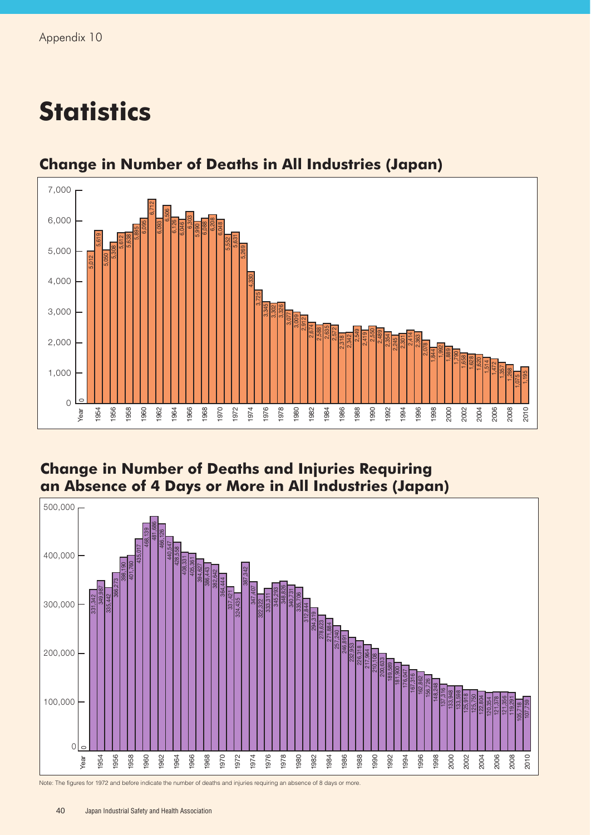## **Statistics**



## **Change in Number of Deaths in All Industries (Japan)**

## **Change in Number of Deaths and Injuries Requiring an Absence of 4 Days or More in All Industries (Japan)**



Note: The figures for 1972 and before indicate the number of deaths and injuries requiring an absence of 8 days or more.